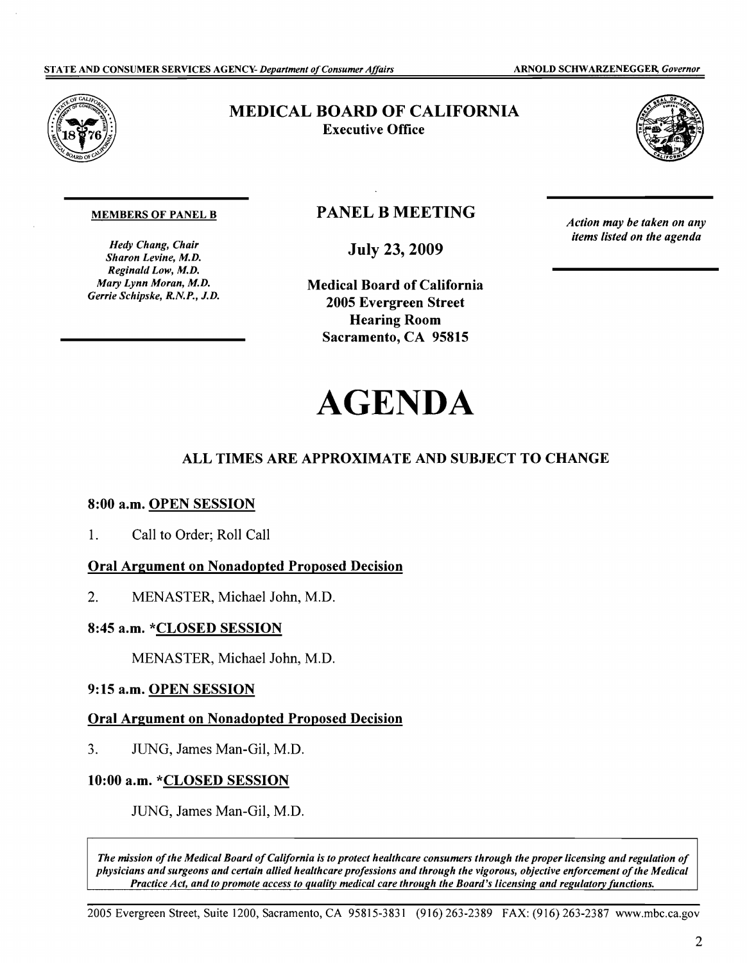

# MEDICAL BOARD OF CALIFORNIA Executive Office



#### MEMBERS OF PANEL B

*Hedy Chang, Chair Sharon Levine, M.D. Reginald Low, M.D. Mary Lynn Moran, M.D. Gerrie Schipske, R.N.P., J.D.* 

# **PANEL B MEETING**

July 23, 2009

Medical Board of California 2005 Evergreen Street Hearing Room Sacramento, CA 95815

*Action may be taken on any items listed on the agenda* 

# AGENDA

## ALL TIMES ARE APPROXIMATE AND SUBJECT TO CHANGE

### 8:00 a.m. OPEN SESSION

1. Call to Order; Roll Call

#### Oral Argument on Nonadopted Proposed Decision

2. MENASTER, Michael John, M.D.

#### 8:45 a.m. \*CLOSED SESSION

MENASTER, Michael John, M.D.

## 9:15 a.m. OPEN SESSION

#### Oral Argument on Nonadopted Proposed Decision

3. JUNG, James Man-Gil, M.D.

#### 10:00 a.m. \*CLOSED SESSION

JUNG, James Man-Gil, M.D.

The mission of the Medical Board of California is to protect healthcare consumers through the proper licensing and regulation of *physicians and surgeons and certain allied healthcare professions and through the vigorous, objective enforcement ofthe Medical Practice Act, and to promote access to quality medical care through the Board's licensing and regulatory functions.*